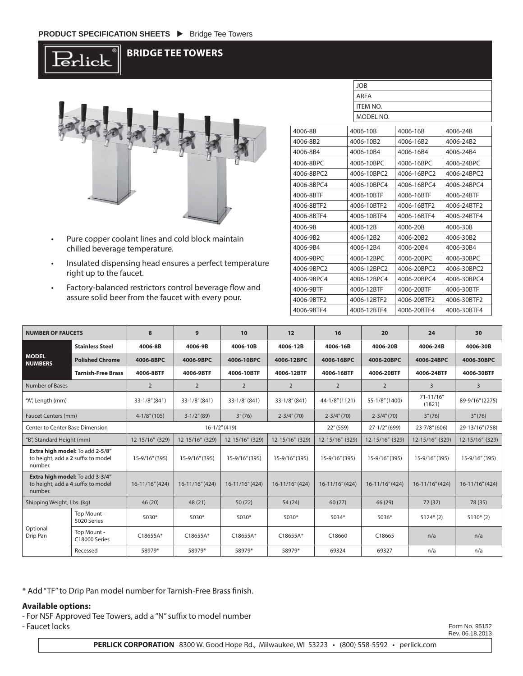·lick

## **BRIDGE TEE TOWERS**



- Pure copper coolant lines and cold block maintain chilled beverage temperature.
- Insulated dispensing head ensures a perfect temperature right up to the faucet.
- Factory-balanced restrictors control beverage flow and assure solid beer from the faucet with every pour.

|            | <b>JOB</b>      |             |             |  |  |  |  |  |
|------------|-----------------|-------------|-------------|--|--|--|--|--|
|            | AREA            |             |             |  |  |  |  |  |
|            | <b>ITEM NO.</b> |             |             |  |  |  |  |  |
|            | MODEL NO.       |             |             |  |  |  |  |  |
| 4006-8B    | 4006-10B        | 4006-16B    | 4006-24B    |  |  |  |  |  |
| 4006-8B2   | 4006-10B2       | 4006-16B2   | 4006-24B2   |  |  |  |  |  |
| 4006-8B4   | 4006-10B4       | 4006-16B4   | 4006-24B4   |  |  |  |  |  |
| 4006-8BPC  | 4006-10BPC      | 4006-16BPC  | 4006-24BPC  |  |  |  |  |  |
| 4006-8BPC2 | 4006-10BPC2     | 4006-16BPC2 | 4006-24BPC2 |  |  |  |  |  |
| 4006-8BPC4 | 4006-10BPC4     | 4006-16BPC4 | 4006-24BPC4 |  |  |  |  |  |
| 4006-8BTF  | 4006-10BTF      | 4006-16BTF  | 4006-24BTF  |  |  |  |  |  |
| 4006-8BTF2 | 4006-10RTF2     | 4006-16BTF2 | 4006-24RTF2 |  |  |  |  |  |
| 4006-8BTF4 | 4006-10BTF4     | 4006-16BTF4 | 4006-24BTF4 |  |  |  |  |  |
| 4006-9B    | 4006-12B        | 4006-20B    | 4006-30B    |  |  |  |  |  |
| 4006-9B2   | 4006-12B2       | 4006-20B2   | 4006-30B2   |  |  |  |  |  |
| 4006-9B4   | 4006-12B4       | 4006-20B4   | 4006-30B4   |  |  |  |  |  |
| 4006-9BPC  | 4006-12BPC      | 4006-20BPC  | 4006-30BPC  |  |  |  |  |  |
| 4006-9BPC2 | 4006-12BPC2     | 4006-20BPC2 | 4006-30BPC2 |  |  |  |  |  |
| 4006-9BPC4 | 4006-12BPC4     | 4006-20BPC4 | 4006-30BPC4 |  |  |  |  |  |
| 4006-9BTF  | 4006-12BTF      | 4006-20BTF  | 4006-30BTF  |  |  |  |  |  |
| 4006-9BTF2 | 4006-12BTF2     | 4006-20BTF2 | 4006-30BTF2 |  |  |  |  |  |
| 4006-9BTF4 | 4006-12BTF4     | 4006-20BTF4 | 4006-30BTF4 |  |  |  |  |  |

| <b>NUMBER OF FAUCETS</b>                                                         |                              | 8                 | 9               | 10              | 12              | 16                 | 20                 | 24                       | 30                  |
|----------------------------------------------------------------------------------|------------------------------|-------------------|-----------------|-----------------|-----------------|--------------------|--------------------|--------------------------|---------------------|
| <b>MODEL</b><br><b>NUMBERS</b>                                                   | <b>Stainless Steel</b>       | 4006-8B           | 4006-9B         | 4006-10B        | 4006-12B        | 4006-16B           | 4006-20B           | 4006-24B                 | 4006-30B            |
|                                                                                  | <b>Polished Chrome</b>       | 4006-8BPC         | 4006-9BPC       | 4006-10BPC      | 4006-12BPC      | 4006-16BPC         | 4006-20BPC         | 4006-24BPC               | 4006-30BPC          |
|                                                                                  | <b>Tarnish-Free Brass</b>    | 4006-8BTF         | 4006-9BTF       | 4006-10BTF      | 4006-12BTF      | 4006-16BTF         | 4006-20BTF         | 4006-24BTF               | 4006-30BTF          |
| Number of Bases                                                                  |                              | $\overline{2}$    | $\overline{2}$  | 2               | 2               | $\overline{2}$     | $\overline{2}$     | 3                        | $\overline{3}$      |
| "A", Length (mm)                                                                 |                              | 33-1/8" (841)     | $33-1/8''(841)$ | $33-1/8''(841)$ | $33-1/8''(841)$ | 44-1/8" (1121)     | 55-1/8" (1400)     | $71 - 11/16''$<br>(1821) | 89-9/16" (2275)     |
| <b>Faucet Centers (mm)</b>                                                       |                              | $4 - 1/8$ " (105) | $3-1/2''(89)$   | 3''(76)         | $2 - 3/4''(70)$ | $2 - 3/4''(70)$    | $2-3/4''(70)$      | 3''(76)                  | 3''(76)             |
| <b>Center to Center Base Dimension</b>                                           |                              | $16-1/2$ " (419)  |                 |                 | 22''(559)       | $27 - 1/2$ " (699) | $23 - 7/8$ " (606) | 29-13/16" (758)          |                     |
| "B", Standard Height (mm)                                                        |                              | 12-15/16" (329)   | 12-15/16" (329) | 12-15/16" (329) | 12-15/16" (329) | 12-15/16" (329)    | 12-15/16" (329)    | 12-15/16" (329)          | 12-15/16" (329)     |
| Extra high model: To add 2-5/8"<br>to height, add a 2 suffix to model<br>number. |                              | 15-9/16" (395)    | 15-9/16" (395)  | 15-9/16" (395)  | 15-9/16" (395)  | 15-9/16" (395)     | 15-9/16" (395)     | 15-9/16" (395)           | 15-9/16" (395)      |
| Extra high model: To add 3-3/4"<br>to height, add a 4 suffix to model<br>number. |                              | 16-11/16" (424)   | 16-11/16" (424) | 16-11/16" (424) | 16-11/16" (424) | 16-11/16" (424)    | 16-11/16" (424)    | 16-11/16" (424)          | $16 - 11/16''(424)$ |
| Shipping Weight, Lbs. (kg)                                                       |                              | 46(20)            | 48 (21)         | 50(22)          | 54 (24)         | 60(27)             | 66 (29)            | 72 (32)                  | 78 (35)             |
| Optional<br>Drip Pan                                                             | Top Mount -<br>5020 Series   | 5030*             | $5030*$         | $5030*$         | 5030*           | 5034*              | 5036*              | $5124*(2)$               | $5130*(2)$          |
|                                                                                  | Top Mount -<br>C18000 Series | C18655A*          | $C18655A*$      | C18655A*        | C18655A*        | C18660             | C18665             | n/a                      | n/a                 |
|                                                                                  | Recessed                     | 58979*            | 58979*          | 58979*          | 58979*          | 69324              | 69327              | n/a                      | n/a                 |

\* Add "TF" to Drip Pan model number for Tarnish-Free Brass finish.

## **Available options:**

- For NSF Approved Tee Towers, add a "N" suffix to model number - Faucet locks

Form No. 95152 Rev. 06.18.2013

**PERLICK CORPORATION** 8300 W. Good Hope Rd., Milwaukee, WI 53223 • (800) 558-5592 • perlick.com